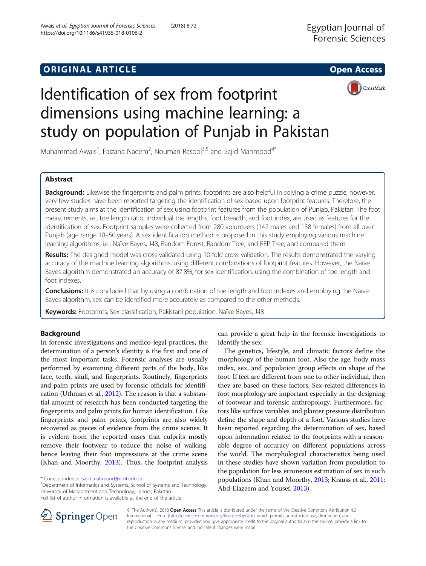# **ORIGINAL ARTICLE CONSERVANCE IN A LOCAL CONSERVANCE IN A LOCAL CONSERVANCE IN A LOCAL CONSERVANCE IN A LOCAL CONS**





# Identification of sex from footprint dimensions using machine learning: a study on population of Punjab in Pakistan

Muhammad Awais<sup>1</sup>, Faizana Naeem<sup>2</sup>, Nouman Rasool<sup>3,5</sup> and Sajid Mahmood<sup>4\*</sup>

# Abstract

Background: Likewise the fingerprints and palm prints, footprints are also helpful in solving a crime puzzle; however, very few studies have been reported targeting the identification of sex-based upon footprint features. Therefore, the present study aims at the identification of sex using footprint features from the population of Punjab, Pakistan. The foot measurements, i.e., toe length ratio, individual toe lengths, foot breadth, and foot index, are used as features for the identification of sex. Footprint samples were collected from 280 volunteers (142 males and 138 females) from all over Punjab (age range 18–50 years). A sex identification method is proposed in this study employing various machine learning algorithms, i.e., Naïve Bayes, J48, Random Forest, Random Tree, and REP Tree, and compared them.

Results: The designed model was cross-validated using 10-fold cross-validation. The results demonstrated the varying accuracy of the machine learning algorithms, using different combinations of footprint features. However, the Naïve Bayes algorithm demonstrated an accuracy of 87.8%, for sex identification, using the combination of toe length and foot indexes.

**Conclusions:** It is concluded that by using a combination of toe length and foot indexes and employing the Naïve Bayes algorithm, sex can be identified more accurately as compared to the other methods.

Keywords: Footprints, Sex classification, Pakistani population, Naïve Bayes, J48

# Background

In forensic investigations and medico-legal practices, the determination of a person's identity is the first and one of the most important tasks. Forensic analyses are usually performed by examining different parts of the body, like face, teeth, skull, and fingerprints. Routinely, fingerprints and palm prints are used by forensic officials for identification (Uthman et al., [2012](#page-8-0)). The reason is that a substantial amount of research has been conducted targeting the fingerprints and palm prints for human identification. Like fingerprints and palm prints, footprints are also widely recovered as pieces of evidence from the crime scenes. It is evident from the reported cases that culprits mostly remove their footwear to reduce the noise of walking, hence leaving their foot impressions at the crime scene (Khan and Moorthy, [2013\)](#page-8-0). Thus, the footprint analysis

<sup>4</sup>Department of Informatics and Systems, School of Systems and Technology, University of Management and Technology, Lahore, Pakistan Full list of author information is available at the end of the article

can provide a great help in the forensic investigations to identify the sex.

The genetics, lifestyle, and climatic factors define the morphology of the human foot. Also the age, body mass index, sex, and population group effects on shape of the foot. If feet are different from one to other individual, then they are based on these factors. Sex-related differences in foot morphology are important especially in the designing of footwear and forensic anthropology. Furthermore, factors like surface variables and planter pressure distribution define the shape and depth of a foot. Various studies have been reported regarding the determination of sex, based upon information related to the footprints with a reasonable degree of accuracy on different populations across the world. The morphological characteristics being used in these studies have shown variation from population to the population for less erroneous estimation of sex in such populations (Khan and Moorthy, [2013;](#page-8-0) Krauss et al., [2011](#page-8-0); Abd-Elazeem and Yousef, [2013](#page-8-0)).



© The Author(s). 2018 Open Access This article is distributed under the terms of the Creative Commons Attribution 4.0 International License ([http://creativecommons.org/licenses/by/4.0/\)](http://creativecommons.org/licenses/by/4.0/), which permits unrestricted use, distribution, and reproduction in any medium, provided you give appropriate credit to the original author(s) and the source, provide a link to the Creative Commons license, and indicate if changes were made.

<sup>\*</sup> Correspondence: [sajid.mahmood@umt.edu.pk](mailto:sajid.mahmood@umt.edu.pk) <sup>4</sup>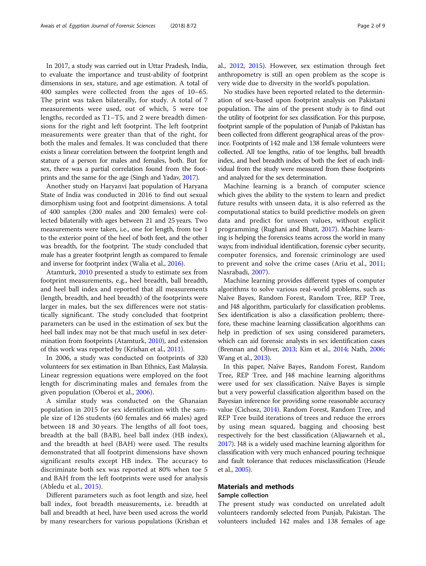In 2017, a study was carried out in Uttar Pradesh, India, to evaluate the importance and trust-ability of footprint dimensions in sex, stature, and age estimation. A total of 400 samples were collected from the ages of 10–65. The print was taken bilaterally, for study. A total of 7 measurements were used, out of which, 5 were toe lengths, recorded as T1–T5, and 2 were breadth dimensions for the right and left footprint. The left footprint measurements were greater than that of the right, for both the males and females. It was concluded that there exists a linear correlation between the footprint length and stature of a person for males and females, both. But for sex, there was a partial correlation found from the footprints and the same for the age (Singh and Yadav, [2017](#page-8-0)).

Another study on Haryanvi Jaat population of Haryana State of India was conducted in 2016 to find out sexual dimorphism using foot and footprint dimensions. A total of 400 samples (200 males and 200 females) were collected bilaterally with ages between 21 and 25 years. Two measurements were taken, i.e., one for length, from toe 1 to the exterior point of the heel of both feet, and the other was breadth, for the footprint. The study concluded that male has a greater footprint length as compared to female and inverse for footprint index (Walia et al., [2016\)](#page-8-0).

Atamturk, [2010](#page-8-0) presented a study to estimate sex from footprint measurements, e.g., heel breadth, ball breadth, and heel ball index and reported that all measurements (length, breadth, and heel breadth) of the footprints were larger in males, but the sex differences were not statistically significant. The study concluded that footprint parameters can be used in the estimation of sex but the heel ball index may not be that much useful in sex determination from footprints (Atamturk, [2010\)](#page-8-0), and extension of this work was reported by (Krishan et al., [2011](#page-8-0)).

In 2006, a study was conducted on footprints of 320 volunteers for sex estimation in Iban Ethnics, East Malaysia. Linear regression equations were employed on the foot length for discriminating males and females from the given population (Oberoi et al., [2006](#page-8-0)).

A similar study was conducted on the Ghanaian population in 2015 for sex identification with the sample size of 126 students (60 females and 66 males) aged between 18 and 30 years. The lengths of all foot toes, breadth at the ball (BAB), heel ball index (HB index), and the breadth at heel (BAH) were used. The results demonstrated that all footprint dimensions have shown significant results except HB index. The accuracy to discriminate both sex was reported at 80% when toe 5 and BAH from the left footprints were used for analysis (Abledu et al., [2015](#page-8-0)).

Different parameters such as foot length and size, heel ball index, foot breadth measurements, i.e. breadth at ball and breadth at heel, have been used across the world by many researchers for various populations (Krishan et al., [2012,](#page-8-0) [2015](#page-8-0)). However, sex estimation through feet anthropometry is still an open problem as the scope is very wide due to diversity in the world's population.

No studies have been reported related to the determination of sex-based upon footprint analysis on Pakistani population. The aim of the present study is to find out the utility of footprint for sex classification. For this purpose, footprint sample of the population of Punjab of Pakistan has been collected from different geographical areas of the province. Footprints of 142 male and 138 female volunteers were collected. All toe lengths, ratio of toe lengths, ball breadth index, and heel breadth index of both the feet of each individual from the study were measured from these footprints and analyzed for the sex determination.

Machine learning is a branch of computer science which gives the ability to the system to learn and predict future results with unseen data, it is also referred as the computational statics to build predictive models on given data and predict for unseen values, without explicit programming (Rughani and Bhatt, [2017\)](#page-8-0). Machine learning is helping the forensics teams across the world in many ways; from individual identification, forensic cyber security, computer forensics, and forensic criminology are used to prevent and solve the crime cases (Ariu et al., [2011](#page-8-0); Nasrabadi, [2007\)](#page-8-0).

Machine learning provides different types of computer algorithms to solve various real-world problems, such as Naïve Bayes, Random Forest, Random Tree, REP Tree, and J48 algorithm, particularly for classification problems. Sex identification is also a classification problem; therefore, these machine learning classification algorithms can help in prediction of sex using considered parameters, which can aid forensic analysts in sex identification cases (Brennan and Oliver, [2013](#page-8-0); Kim et al., [2014](#page-8-0); Nath, [2006](#page-8-0); Wang et al., [2013](#page-8-0)).

In this paper, Naïve Bayes, Random Forest, Random Tree, REP Tree, and J48 machine learning algorithms were used for sex classification. Naïve Bayes is simple but a very powerful classification algorithm based on the Bayesian inference for providing some reasonable accuracy value (Cichosz, [2014](#page-8-0)). Random Forest, Random Tree, and REP Tree build iterations of trees and reduce the errors by using mean squared, bagging and choosing best respectively for the best classification (Aljawarneh et al., [2017](#page-8-0)). J48 is a widely used machine learning algorithm for classification with very much enhanced pouring technique and fault tolerance that reduces misclassification (Heude et al., [2005\)](#page-8-0).

# Materials and methods

#### Sample collection

The present study was conducted on unrelated adult volunteers randomly selected from Punjab, Pakistan. The volunteers included 142 males and 138 females of age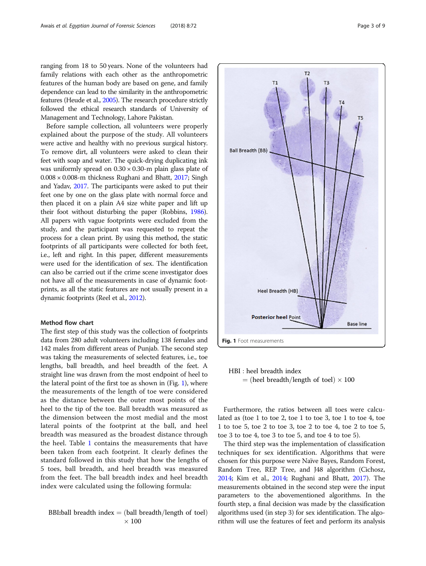ranging from 18 to 50 years. None of the volunteers had family relations with each other as the anthropometric features of the human body are based on gene, and family dependence can lead to the similarity in the anthropometric features (Heude et al., [2005](#page-8-0)). The research procedure strictly followed the ethical research standards of University of Management and Technology, Lahore Pakistan.

Before sample collection, all volunteers were properly explained about the purpose of the study. All volunteers were active and healthy with no previous surgical history. To remove dirt, all volunteers were asked to clean their feet with soap and water. The quick-drying duplicating ink was uniformly spread on  $0.30 \times 0.30$ -m plain glass plate of 0.008 × 0.008-m thickness Rughani and Bhatt, [2017;](#page-8-0) Singh and Yadav, [2017.](#page-8-0) The participants were asked to put their feet one by one on the glass plate with normal force and then placed it on a plain A4 size white paper and lift up their foot without disturbing the paper (Robbins, [1986](#page-8-0)). All papers with vague footprints were excluded from the study, and the participant was requested to repeat the process for a clean print. By using this method, the static footprints of all participants were collected for both feet, i.e., left and right. In this paper, different measurements were used for the identification of sex. The identification can also be carried out if the crime scene investigator does not have all of the measurements in case of dynamic footprints, as all the static features are not usually present in a dynamic footprints (Reel et al., [2012](#page-8-0)).

#### Method flow chart

The first step of this study was the collection of footprints data from 280 adult volunteers including 138 females and 142 males from different areas of Punjab. The second step was taking the measurements of selected features, i.e., toe lengths, ball breadth, and heel breadth of the feet. A straight line was drawn from the most endpoint of heel to the lateral point of the first toe as shown in (Fig. 1), where the measurements of the length of toe were considered as the distance between the outer most points of the heel to the tip of the toe. Ball breadth was measured as the dimension between the most medial and the most lateral points of the footprint at the ball, and heel breadth was measured as the broadest distance through the heel. Table [1](#page-3-0) contains the measurements that have been taken from each footprint. It clearly defines the standard followed in this study that how the lengths of 5 toes, ball breadth, and heel breadth was measured from the feet. The ball breadth index and heel breadth index were calculated using the following formula:

$$
BBI:ball\ breadth\ index = (ball\ breadth/length\ of\ tool)
$$
  
× 100



Fig. 1 Foot measurements

HBI : heel breadth index  $=$  (heel breadth/length of toel)  $\times$  100

Furthermore, the ratios between all toes were calculated as (toe 1 to toe 2, toe 1 to toe 3, toe 1 to toe 4, toe 1 to toe 5, toe 2 to toe 3, toe 2 to toe 4, toe 2 to toe 5, toe 3 to toe 4, toe 3 to toe 5, and toe 4 to toe 5).

The third step was the implementation of classification techniques for sex identification. Algorithms that were chosen for this purpose were Naïve Bayes, Random Forest, Random Tree, REP Tree, and J48 algorithm (Cichosz, [2014;](#page-8-0) Kim et al., [2014](#page-8-0); Rughani and Bhatt, [2017\)](#page-8-0). The measurements obtained in the second step were the input parameters to the abovementioned algorithms. In the fourth step, a final decision was made by the classification algorithms used (in step 3) for sex identification. The algorithm will use the features of feet and perform its analysis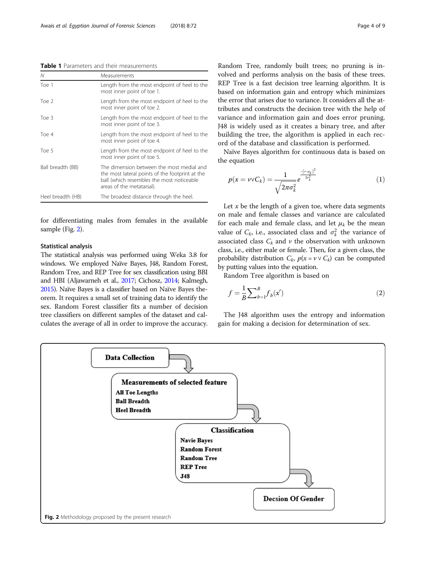<span id="page-3-0"></span>Table 1 Parameters and their measurements

| Ν                 | Measurements                                                                                                                                                           |
|-------------------|------------------------------------------------------------------------------------------------------------------------------------------------------------------------|
| Toe 1             | Length from the most endpoint of heel to the<br>most inner point of toe 1.                                                                                             |
| Toe 2             | Length from the most endpoint of heel to the<br>most inner point of toe 2.                                                                                             |
| Toe 3             | Length from the most endpoint of heel to the<br>most inner point of toe 3.                                                                                             |
| Toe 4             | Length from the most endpoint of heel to the<br>most inner point of toe 4.                                                                                             |
| Toe 5             | Length from the most endpoint of heel to the<br>most inner point of toe 5.                                                                                             |
| Ball breadth (BB) | The dimension between the most medial and<br>the most lateral points of the footprint at the<br>ball (which resembles the most noticeable<br>areas of the metatarsal). |
| Heel breadth (HB) | The broadest distance through the heel.                                                                                                                                |

for differentiating males from females in the available sample (Fig. 2).

## Statistical analysis

The statistical analysis was performed using Weka 3.8 for windows. We employed Naïve Bayes, J48, Random Forest, Random Tree, and REP Tree for sex classification using BBI and HBI (Aljawarneh et al., [2017](#page-8-0); Cichosz, [2014](#page-8-0); Kalmegh, [2015](#page-8-0)). Naïve Bayes is a classifier based on Naïve Bayes theorem. It requires a small set of training data to identify the sex. Random Forest classifier fits a number of decision tree classifiers on different samples of the dataset and calculates the average of all in order to improve the accuracy. Random Tree, randomly built trees; no pruning is involved and performs analysis on the basis of these trees. REP Tree is a fast decision tree learning algorithm. It is based on information gain and entropy which minimizes the error that arises due to variance. It considers all the attributes and constructs the decision tree with the help of variance and information gain and does error pruning. J48 is widely used as it creates a binary tree, and after building the tree, the algorithm is applied in each record of the database and classification is performed.

Naïve Bayes algorithm for continuous data is based on the equation

$$
p(x = v \vee C_k) = \frac{1}{\sqrt{2\pi\sigma_k^2}} e^{\frac{-(v-\mu_k)^2}{2\sigma_k^2}} \tag{1}
$$

Let  $x$  be the length of a given toe, where data segments on male and female classes and variance are calculated for each male and female class, and let  $\mu_k$  be the mean value of  $C_k$ , i.e., associated class and  $\sigma_k^2$  the variance of associated class  $C_k$  and  $\nu$  the observation with unknown class, i.e., either male or female. Then, for a given class, the probability distribution  $C_k$ ,  $p(x = v \vee C_k)$  can be computed by putting values into the equation.

Random Tree algorithm is based on

$$
f = \frac{1}{B} \sum_{b=1}^{B} f_b(x')
$$
 (2)

The J48 algorithm uses the entropy and information gain for making a decision for determination of sex.

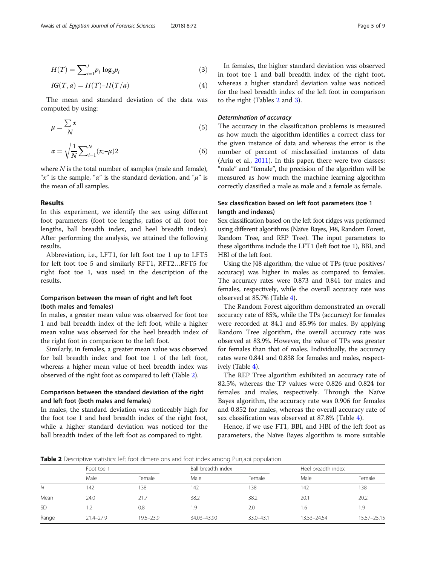$$
H(T) = \sum_{i=1}^{j} p_i \log_2 p_i \tag{3}
$$

$$
IG(T, a) = H(T) - H(T/a)
$$
\n<sup>(4)</sup>

The mean and standard deviation of the data was computed by using:

$$
\mu = \frac{\sum x}{N} \tag{5}
$$

$$
\alpha = \sqrt{\frac{1}{N} \sum_{i=1}^{N} (x_i - \mu) 2}
$$
 (6)

where  $N$  is the total number of samples (male and female), "x" is the sample, "a" is the standard deviation, and " $\mu$ " is the mean of all samples.

# Results

In this experiment, we identify the sex using different foot parameters (foot toe lengths, ratios of all foot toe lengths, ball breadth index, and heel breadth index). After performing the analysis, we attained the following results.

Abbreviation, i.e., LFT1, for left foot toe 1 up to LFT5 for left foot toe 5 and similarly RFT1, RFT2…RFT5 for right foot toe 1, was used in the description of the results.

# Comparison between the mean of right and left foot (both males and females)

In males, a greater mean value was observed for foot toe 1 and ball breadth index of the left foot, while a higher mean value was observed for the heel breadth index of the right foot in comparison to the left foot.

Similarly, in females, a greater mean value was observed for ball breadth index and foot toe 1 of the left foot, whereas a higher mean value of heel breadth index was observed of the right foot as compared to left (Table 2).

# Comparison between the standard deviation of the right and left foot (both males and females)

In males, the standard deviation was noticeably high for the foot toe 1 and heel breadth index of the right foot, while a higher standard deviation was noticed for the ball breadth index of the left foot as compared to right.

In females, the higher standard deviation was observed in foot toe 1 and ball breadth index of the right foot, whereas a higher standard deviation value was noticed for the heel breadth index of the left foot in comparison to the right (Tables 2 and [3\)](#page-5-0).

# Determination of accuracy

The accuracy in the classification problems is measured as how much the algorithm identifies a correct class for the given instance of data and whereas the error is the number of percent of misclassified instances of data (Ariu et al., [2011\)](#page-8-0). In this paper, there were two classes: "male" and "female", the precision of the algorithm will be measured as how much the machine learning algorithm correctly classified a male as male and a female as female.

# Sex classification based on left foot parameters (toe 1 length and indexes)

Sex classification based on the left foot ridges was performed using different algorithms (Naïve Bayes, J48, Random Forest, Random Tree, and REP Tree). The input parameters to these algorithms include the LFT1 (left foot toe 1), BBI, and HBI of the left foot.

Using the J48 algorithm, the value of TPs (true positives/ accuracy) was higher in males as compared to females. The accuracy rates were 0.873 and 0.841 for males and females, respectively, while the overall accuracy rate was observed at 85.7% (Table [4](#page-5-0)).

The Random Forest algorithm demonstrated an overall accuracy rate of 85%, while the TPs (accuracy) for females were recorded at 84.1 and 85.9% for males. By applying Random Tree algorithm, the overall accuracy rate was observed at 83.9%. However, the value of TPs was greater for females than that of males. Individually, the accuracy rates were 0.841 and 0.838 for females and males, respectively (Table [4\)](#page-5-0).

The REP Tree algorithm exhibited an accuracy rate of 82.5%, whereas the TP values were 0.826 and 0.824 for females and males, respectively. Through the Naïve Bayes algorithm, the accuracy rate was 0.906 for females and 0.852 for males, whereas the overall accuracy rate of sex classification was observed at 87.8% (Table [4](#page-5-0)).

Hence, if we use FT1, BBI, and HBI of the left foot as parameters, the Naïve Bayes algorithm is more suitable

**Table 2** Descriptive statistics: left foot dimensions and foot index among Punjabi population

|           | Foot toe 1    |               | Ball breadth index |               | Heel breadth index |             |
|-----------|---------------|---------------|--------------------|---------------|--------------------|-------------|
|           | Male          | Female        | Male               | Female        | Male               | Female      |
| N         | 142           | 138           | 142                | 138           | 142                | 138         |
| Mean      | 24.0          | 21.7          | 38.2               | 38.2          | 20.1               | 20.2        |
| <b>SD</b> |               | 0.8           | 1.9                | 2.0           | 1.6                | 1.9         |
| Range     | $21.4 - 27.9$ | $19.5 - 23.9$ | 34.03-43.90        | $33.0 - 43.1$ | 13.53-24.54        | 15.57-25.15 |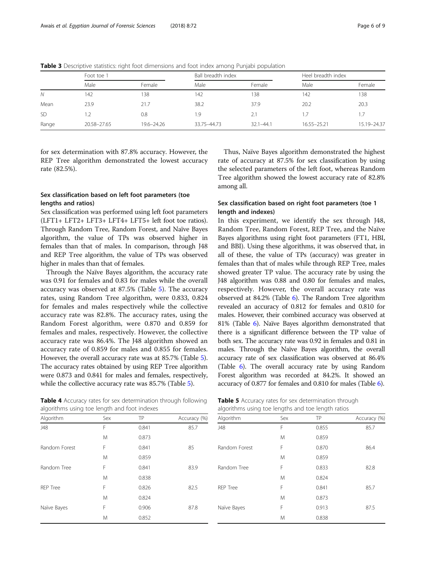|           | Foot toe 1  |            | Ball breadth index |               | Heel breadth index |               |
|-----------|-------------|------------|--------------------|---------------|--------------------|---------------|
|           | Male        | Female     | Male               | Female        | Male               | Female        |
| N         | 142         | 138        | 142                | 138           | 142                | 138           |
| Mean      | 23.9        | 21.7       | 38.2               | 37.9          | 20.2               | 20.3          |
| <b>SD</b> | 1.2         | 0.8        | 1.9                | 2.1           | 1.7                |               |
| Range     | 20.58-27.65 | 19.6-24.26 | 33.75-44.73        | $32.1 - 44.1$ | 16.55-25.21        | 15.19 - 24.37 |

<span id="page-5-0"></span>Table 3 Descriptive statistics: right foot dimensions and foot index among Punjabi population

for sex determination with 87.8% accuracy. However, the REP Tree algorithm demonstrated the lowest accuracy rate (82.5%).

# Sex classification based on left foot parameters (toe lengths and ratios)

Sex classification was performed using left foot parameters (LFT1+ LFT2+ LFT3+ LFT4+ LFT5+ left foot toe ratios). Through Random Tree, Random Forest, and Naïve Bayes algorithm, the value of TPs was observed higher in females than that of males. In comparison, through J48 and REP Tree algorithm, the value of TPs was observed higher in males than that of females.

Through the Naïve Bayes algorithm, the accuracy rate was 0.91 for females and 0.83 for males while the overall accuracy was observed at 87.5% (Table 5). The accuracy rates, using Random Tree algorithm, were 0.833, 0.824 for females and males respectively while the collective accuracy rate was 82.8%. The accuracy rates, using the Random Forest algorithm, were 0.870 and 0.859 for females and males, respectively. However, the collective accuracy rate was 86.4%. The J48 algorithm showed an accuracy rate of 0.859 for males and 0.855 for females. However, the overall accuracy rate was at 85.7% (Table 5). The accuracy rates obtained by using REP Tree algorithm were 0.873 and 0.841 for males and females, respectively, while the collective accuracy rate was 85.7% (Table 5).

Table 4 Accuracy rates for sex determination through following algorithms using toe length and foot indexes

| Thus, Naïve Bayes algorithm demonstrated the highest      |  |
|-----------------------------------------------------------|--|
| rate of accuracy at 87.5% for sex classification by using |  |
| the selected parameters of the left foot, whereas Random  |  |
| Tree algorithm showed the lowest accuracy rate of 82.8%   |  |
| among all.                                                |  |

# Sex classification based on right foot parameters (toe 1 length and indexes)

In this experiment, we identify the sex through J48, Random Tree, Random Forest, REP Tree, and the Naïve Bayes algorithms using right foot parameters (FT1, HBI, and BBI). Using these algorithms, it was observed that, in all of these, the value of TPs (accuracy) was greater in females than that of males while through REP Tree, males showed greater TP value. The accuracy rate by using the J48 algorithm was 0.88 and 0.80 for females and males, respectively. However, the overall accuracy rate was observed at 84.2% (Table [6](#page-6-0)). The Random Tree algorithm revealed an accuracy of 0.812 for females and 0.810 for males. However, their combined accuracy was observed at 81% (Table [6\)](#page-6-0). Naïve Bayes algorithm demonstrated that there is a significant difference between the TP value of both sex. The accuracy rate was 0.92 in females and 0.81 in males. Through the Naïve Bayes algorithm, the overall accuracy rate of sex classification was observed at 86.4% (Table [6](#page-6-0)). The overall accuracy rate by using Random Forest algorithm was recorded at 84.2%. It showed an accuracy of 0.877 for females and 0.810 for males (Table [6](#page-6-0)).

| Table 5 Accuracy rates for sex determination through |  |  |  |
|------------------------------------------------------|--|--|--|
| algorithms using toe lengths and toe length ratios   |  |  |  |

| Algorithm       | Sex | TP    | Accuracy (%) |
|-----------------|-----|-------|--------------|
| J48             | F   | 0.841 | 85.7         |
|                 | M   | 0.873 |              |
| Random Forest   | F   | 0.841 | 85           |
|                 | M   | 0.859 |              |
| Random Tree     | F   | 0.841 | 83.9         |
|                 | M   | 0.838 |              |
| <b>REP Tree</b> | F   | 0.826 | 82.5         |
|                 | M   | 0.824 |              |
| Naïve Bayes     | F   | 0.906 | 87.8         |
|                 | M   | 0.852 |              |
|                 |     |       |              |

| algorithms using toe lengths and toe length ratios |     |       |              |  |  |
|----------------------------------------------------|-----|-------|--------------|--|--|
| Algorithm                                          | Sex | TP    | Accuracy (%) |  |  |
| J48                                                | F   | 0.855 | 85.7         |  |  |
|                                                    | M   | 0.859 |              |  |  |
| Random Forest                                      | F   | 0.870 | 86.4         |  |  |
|                                                    | M   | 0.859 |              |  |  |
| Random Tree                                        | F   | 0.833 | 82.8         |  |  |
|                                                    | M   | 0.824 |              |  |  |
| <b>REP Tree</b>                                    | F   | 0.841 | 85.7         |  |  |
|                                                    | M   | 0.873 |              |  |  |
| Naïve Bayes                                        | F   | 0.913 | 87.5         |  |  |
|                                                    | M   | 0.838 |              |  |  |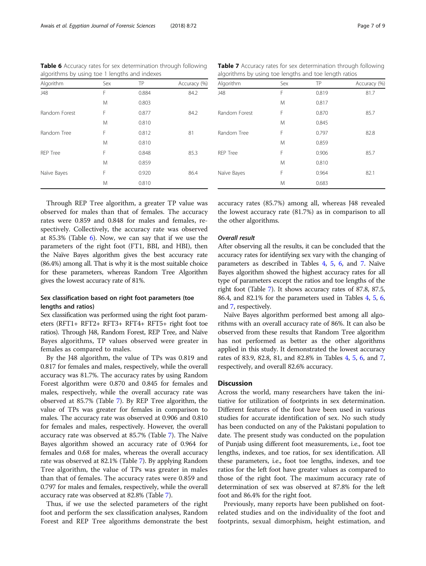<span id="page-6-0"></span>Table 6 Accuracy rates for sex determination through following algorithms by using toe 1 lengths and indexes

| Algorithm     | Sex | TP    | Accuracy (%) |
|---------------|-----|-------|--------------|
| J48           | F   | 0.884 | 84.2         |
|               | M   | 0.803 |              |
| Random Forest | F   | 0.877 | 84.2         |
|               | M   | 0.810 |              |
| Random Tree   | F   | 0.812 | 81           |
|               | M   | 0.810 |              |
| RFP Tree      | F   | 0.848 | 85.3         |
|               | M   | 0.859 |              |
| Naïve Bayes   | F   | 0.920 | 86.4         |
|               | M   | 0.810 |              |

algorithms by using toe lengths and toe length ratios Algorithm Sex TP Accuracy (%) J48 F 0.819 81.7 M 0.817 Random Forest F 0.870 85.7 M 0.845 Random Tree F 0.797 82.8 M 0.859 REP Tree **F** 0.906 85.7 M 0.810 Naïve Bayes F 0.964 82.1 M 0.683

Table 7 Accuracy rates for sex determination through following

Through REP Tree algorithm, a greater TP value was observed for males than that of females. The accuracy rates were 0.859 and 0.848 for males and females, respectively. Collectively, the accuracy rate was observed at 85.3% (Table 6). Now, we can say that if we use the parameters of the right foot (FT1, BBI, and HBI), then the Naïve Bayes algorithm gives the best accuracy rate (86.4%) among all. That is why it is the most suitable choice for these parameters, whereas Random Tree Algorithm gives the lowest accuracy rate of 81%.

# Sex classification based on right foot parameters (toe lengths and ratios)

Sex classification was performed using the right foot parameters (RFT1+ RFT2+ RFT3+ RFT4+ RFT5+ right foot toe ratios). Through J48, Random Forest, REP Tree, and Naïve Bayes algorithms, TP values observed were greater in females as compared to males.

By the J48 algorithm, the value of TPs was 0.819 and 0.817 for females and males, respectively, while the overall accuracy was 81.7%. The accuracy rates by using Random Forest algorithm were 0.870 and 0.845 for females and males, respectively, while the overall accuracy rate was observed at 85.7% (Table 7). By REP Tree algorithm, the value of TPs was greater for females in comparison to males. The accuracy rate was observed at 0.906 and 0.810 for females and males, respectively. However, the overall accuracy rate was observed at 85.7% (Table 7). The Naïve Bayes algorithm showed an accuracy rate of 0.964 for females and 0.68 for males, whereas the overall accuracy rate was observed at 82.1% (Table 7). By applying Random Tree algorithm, the value of TPs was greater in males than that of females. The accuracy rates were 0.859 and 0.797 for males and females, respectively, while the overall accuracy rate was observed at 82.8% (Table 7).

Thus, if we use the selected parameters of the right foot and perform the sex classification analyses, Random Forest and REP Tree algorithms demonstrate the best accuracy rates (85.7%) among all, whereas J48 revealed the lowest accuracy rate (81.7%) as in comparison to all the other algorithms.

# Overall result

After observing all the results, it can be concluded that the accuracy rates for identifying sex vary with the changing of parameters as described in Tables [4](#page-5-0), [5,](#page-5-0) 6, and 7. Naïve Bayes algorithm showed the highest accuracy rates for all type of parameters except the ratios and toe lengths of the right foot (Table 7). It shows accuracy rates of 87.8, 87.5, 86.4, and 82.1% for the parameters used in Tables [4,](#page-5-0) [5](#page-5-0), 6, and 7, respectively.

Naïve Bayes algorithm performed best among all algorithms with an overall accuracy rate of 86%. It can also be observed from these results that Random Tree algorithm has not performed as better as the other algorithms applied in this study. It demonstrated the lowest accuracy rates of 83.9, 82.8, 81, and 82.8% in Tables [4](#page-5-0), [5,](#page-5-0) 6, and 7, respectively, and overall 82.6% accuracy.

## **Discussion**

Across the world, many researchers have taken the initiative for utilization of footprints in sex determination. Different features of the foot have been used in various studies for accurate identification of sex. No such study has been conducted on any of the Pakistani population to date. The present study was conducted on the population of Punjab using different foot measurements, i.e., foot toe lengths, indexes, and toe ratios, for sex identification. All these parameters, i.e., foot toe lengths, indexes, and toe ratios for the left foot have greater values as compared to those of the right foot. The maximum accuracy rate of determination of sex was observed at 87.8% for the left foot and 86.4% for the right foot.

Previously, many reports have been published on footrelated studies and on the individuality of the foot and footprints, sexual dimorphism, height estimation, and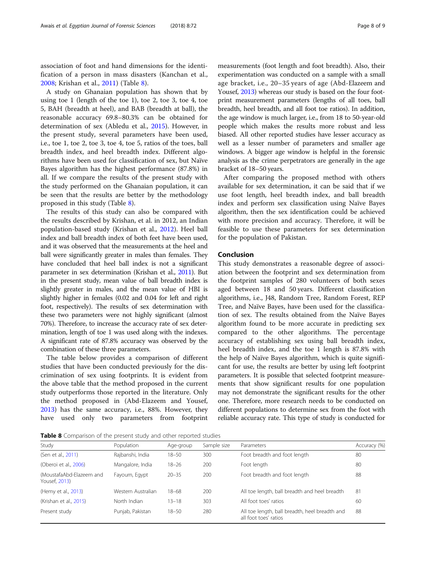association of foot and hand dimensions for the identification of a person in mass disasters (Kanchan et al., [2008;](#page-8-0) Krishan et al., [2011](#page-8-0)) (Table 8).

A study on Ghanaian population has shown that by using toe 1 (length of the toe 1), toe 2, toe 3, toe 4, toe 5, BAH (breadth at heel), and BAB (breadth at ball), the reasonable accuracy 69.8–80.3% can be obtained for determination of sex (Abledu et al., [2015](#page-8-0)). However, in the present study, several parameters have been used, i.e., toe 1, toe 2, toe 3, toe 4, toe 5, ratios of the toes, ball breadth index, and heel breadth index. Different algorithms have been used for classification of sex, but Naïve Bayes algorithm has the highest performance (87.8%) in all. If we compare the results of the present study with the study performed on the Ghanaian population, it can be seen that the results are better by the methodology proposed in this study (Table 8).

The results of this study can also be compared with the results described by Krishan, et al. in 2012, an Indian population-based study (Krishan et al., [2012](#page-8-0)). Heel ball index and ball breadth index of both feet have been used, and it was observed that the measurements at the heel and ball were significantly greater in males than females. They have concluded that heel ball index is not a significant parameter in sex determination (Krishan et al., [2011\)](#page-8-0). But in the present study, mean value of ball breadth index is slightly greater in males, and the mean value of HBI is slightly higher in females (0.02 and 0.04 for left and right foot, respectively). The results of sex determination with these two parameters were not highly significant (almost 70%). Therefore, to increase the accuracy rate of sex determination, length of toe 1 was used along with the indexes. A significant rate of 87.8% accuracy was observed by the combination of these three parameters.

The table below provides a comparison of different studies that have been conducted previously for the discrimination of sex using footprints. It is evident from the above table that the method proposed in the current study outperforms those reported in the literature. Only the method proposed in (Abd-Elazeem and Yousef, [2013](#page-8-0)) has the same accuracy, i.e., 88%. However, they have used only two parameters from footprint

measurements (foot length and foot breadth). Also, their experimentation was conducted on a sample with a small age bracket, i.e., 20–35 years of age (Abd-Elazeem and Yousef, [2013\)](#page-8-0) whereas our study is based on the four footprint measurement parameters (lengths of all toes, ball breadth, heel breadth, and all foot toe ratios). In addition, the age window is much larger, i.e., from 18 to 50-year-old people which makes the results more robust and less biased. All other reported studies have lesser accuracy as well as a lesser number of parameters and smaller age windows. A bigger age window is helpful in the forensic analysis as the crime perpetrators are generally in the age bracket of 18–50 years.

After comparing the proposed method with others available for sex determination, it can be said that if we use foot length, heel breadth index, and ball breadth index and perform sex classification using Naïve Bayes algorithm, then the sex identification could be achieved with more precision and accuracy. Therefore, it will be feasible to use these parameters for sex determination for the population of Pakistan.

#### Conclusion

This study demonstrates a reasonable degree of association between the footprint and sex determination from the footprint samples of 280 volunteers of both sexes aged between 18 and 50 years. Different classification algorithms, i.e., J48, Random Tree, Random Forest, REP Tree, and Naïve Bayes, have been used for the classification of sex. The results obtained from the Naïve Bayes algorithm found to be more accurate in predicting sex compared to the other algorithms. The percentage accuracy of establishing sex using ball breadth index, heel breadth index, and the toe 1 length is 87.8% with the help of Naïve Bayes algorithm, which is quite significant for use, the results are better by using left footprint parameters. It is possible that selected footprint measurements that show significant results for one population may not demonstrate the significant results for the other one. Therefore, more research needs to be conducted on different populations to determine sex from the foot with reliable accuracy rate. This type of study is conducted for

Table 8 Comparison of the present study and other reported studies

| Study                                     | Population         | Age-group | Sample size | Parameters                                                              | Accuracy (%) |
|-------------------------------------------|--------------------|-----------|-------------|-------------------------------------------------------------------------|--------------|
| (Sen et al., 2011)                        | Rajbanshi, India   | $18 - 50$ | 300         | Foot breadth and foot length                                            | 80           |
| (Oberoi et al., 2006)                     | Mangalore, India   | $18 - 26$ | 200         | Foot length                                                             | 80           |
| (MoustafaAbd-Elazeem and<br>Yousef, 2013) | Fayoum, Egypt      | $20 - 35$ | 200         | Foot breadth and foot length                                            | 88           |
| (Hemy et al., 2013)                       | Western Australian | $18 - 68$ | 200         | All toe length, ball breadth and heel breadth                           | 81           |
| (Krishan et al., 2015)                    | North Indian       | $13 - 18$ | 303         | All foot toes' ratios                                                   | 60           |
| Present study                             | Punjab, Pakistan   | $18 - 50$ | 280         | All toe length, ball breadth, heel breadth and<br>all foot toes' ratios | 88           |